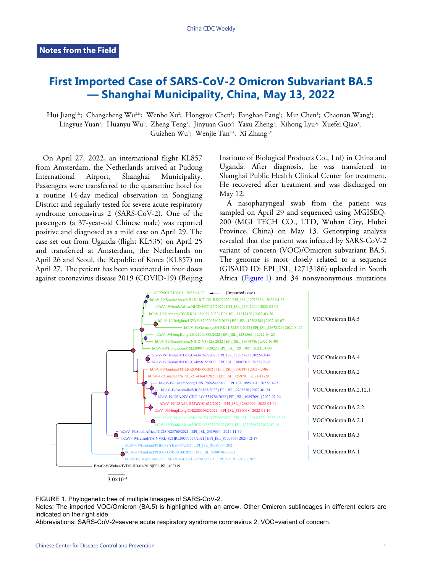## **First Imported Case of SARS-CoV-2 Omicron Subvariant BA.5 — Shanghai Municipality, China, May 13, 2022**

Hui Jiang'.\*; Changcheng Wu<sup>2,&</sup>; Wenbo Xu²; Hongyou Chen'; Fanghao Fang'; Min Chen'; Chaonan Wang'; Lingyue Yuan'; Huanyu Wu'; Zheng Teng'; Jinyuan Guo'; Yaxu Zheng'; Xihong Lyu'; Xuefei Qiao'; Guizhen Wu<sup>2</sup>; Wenjie Tan<sup>2,#</sup>; Xi Zhang<sup>1,#</sup>

On April 27, 2022, an international flight KL857 from Amsterdam, the Netherlands arrived at Pudong International Airport, Shanghai Municipality. Passengers were transferred to the quarantine hotel for a routine 14-day medical observation in Songjiang District and regularly tested for severe acute respiratory syndrome coronavirus 2 (SARS-CoV-2). One of the passengers (a 37-year-old Chinese male) was reported positive and diagnosed as a mild case on April 29. The case set out from Uganda (flight KL535) on April 25 and transferred at Amsterdam, the Netherlands on April 26 and Seoul, the Republic of Korea (KL857) on April 27. The patient has been vaccinated in four doses against coronavirus disease 2019 (COVID-19) (Beijing

Institute of Biological Products Co., Ltd) in China and Uganda. After diagnosis, he was transferred to Shanghai Public Health Clinical Center for treatment. He recovered after treatment and was discharged on May 12.

A nasopharyngeal swab from the patient was sampled on April 29 and sequenced using MGISEQ-200 (MGI TECH CO., LTD, Wuhan City, Hubei Province, China) on May 13. Genotyping analysis revealed that the patient was infected by SARS-CoV-2 variant of concern (VOC)/Omicron subvariant BA.5. The genome is most closely related to a sequence (GISAID ID: EPI\_ISL\_12713186) uploaded in South Africa ([Figure 1\)](#page-0-0) and 34 nonsynonymous mutations

<span id="page-0-0"></span>

FIGURE 1. Phylogenetic tree of multiple lineages of SARS-CoV-2.

Notes: The imported VOC/Omicron (BA.5) is highlighted with an arrow. Other Omicron sublineages in different colors are indicated on the right side.

Abbreviations: SARS-CoV-2=severe acute respiratory syndrome coronavirus 2; VOC=variant of concern.